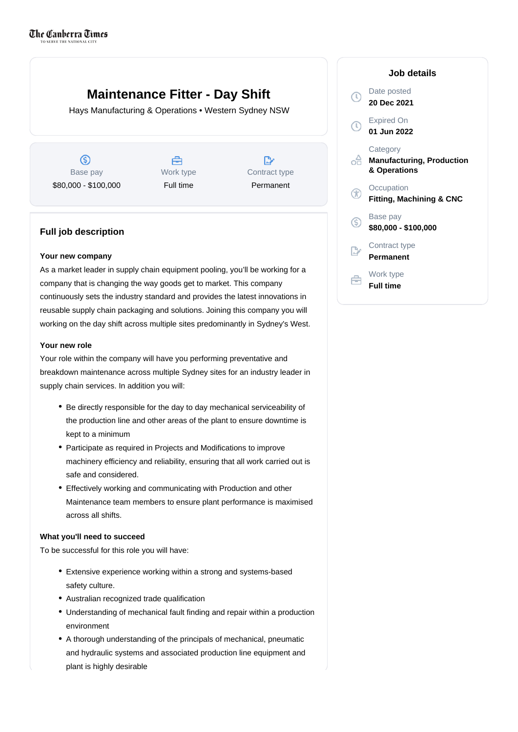# **Maintenance Fitter - Day Shift**

Hays Manufacturing & Operations • Western Sydney NSW

 $\circledS$ Base pay \$80,000 - \$100,000

A Work type Full time

D, Contract type Permanent

## **Full job description**

#### **Your new company**

As a market leader in supply chain equipment pooling, you'll be working for a company that is changing the way goods get to market. This company continuously sets the industry standard and provides the latest innovations in reusable supply chain packaging and solutions. Joining this company you will working on the day shift across multiple sites predominantly in Sydney's West.

#### **Your new role**

Your role within the company will have you performing preventative and breakdown maintenance across multiple Sydney sites for an industry leader in supply chain services. In addition you will:

- Be directly responsible for the day to day mechanical serviceability of the production line and other areas of the plant to ensure downtime is kept to a minimum
- Participate as required in Projects and Modifications to improve machinery efficiency and reliability, ensuring that all work carried out is safe and considered.
- Effectively working and communicating with Production and other Maintenance team members to ensure plant performance is maximised across all shifts.

#### **What you'll need to succeed**

To be successful for this role you will have:

- Extensive experience working within a strong and systems-based safety culture.
- Australian recognized trade qualification
- Understanding of mechanical fault finding and repair within a production environment
- A thorough understanding of the principals of mechanical, pneumatic and hydraulic systems and associated production line equipment and plant is highly desirable

### **Job details** Date posted  $\mathbb{C}$ **20 Dec 2021** Expired On **01 Jun 2022 Category Manufacturing, Production & Operations Occupation**  $\mathcal{F}$ **Fitting, Machining & CNC** Base pay (S) **\$80,000 - \$100,000** Contract type **Permanent** Work type 白 **Full time**